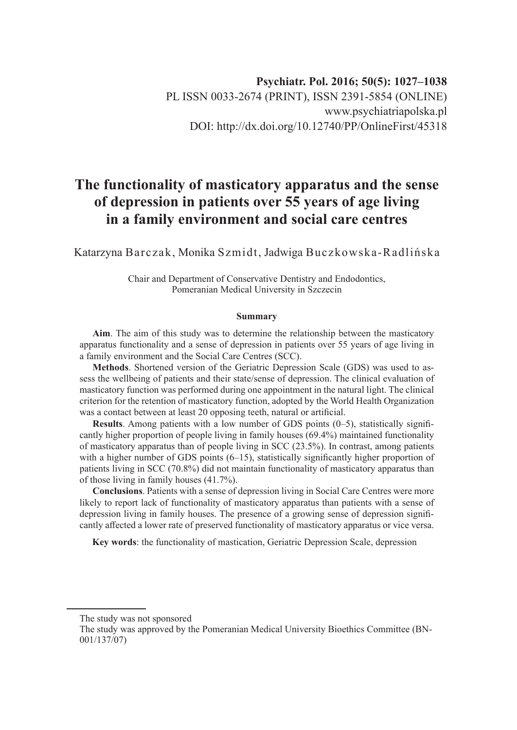# **The functionality of masticatory apparatus and the sense of depression in patients over 55 years of age living in a family environment and social care centres**

Katarzyna Barczak, Monika Szmidt, Jadwiga Buczkowska-Radlińska

Chair and Department of Conservative Dentistry and Endodontics, Pomeranian Medical University in Szczecin

#### **Summary**

**Aim**. The aim of this study was to determine the relationship between the masticatory apparatus functionality and a sense of depression in patients over 55 years of age living in a family environment and the Social Care Centres (SCC).

**Methods**. Shortened version of the Geriatric Depression Scale (GDS) was used to assess the wellbeing of patients and their state/sense of depression. The clinical evaluation of masticatory function was performed during one appointment in the natural light. The clinical criterion for the retention of masticatory function, adopted by the World Health Organization was a contact between at least 20 opposing teeth, natural or artificial.

**Results**. Among patients with a low number of GDS points (0–5), statistically significantly higher proportion of people living in family houses (69.4%) maintained functionality of masticatory apparatus than of people living in SCC (23.5%). In contrast, among patients with a higher number of GDS points (6–15), statistically significantly higher proportion of patients living in SCC (70.8%) did not maintain functionality of masticatory apparatus than of those living in family houses (41.7%).

**Conclusions**. Patients with a sense of depression living in Social Care Centres were more likely to report lack of functionality of masticatory apparatus than patients with a sense of depression living in family houses. The presence of a growing sense of depression significantly affected a lower rate of preserved functionality of masticatory apparatus or vice versa.

**Key words**: the functionality of mastication, Geriatric Depression Scale, depression

The study was not sponsored

The study was approved by the Pomeranian Medical University Bioethics Committee (BN-001/137/07)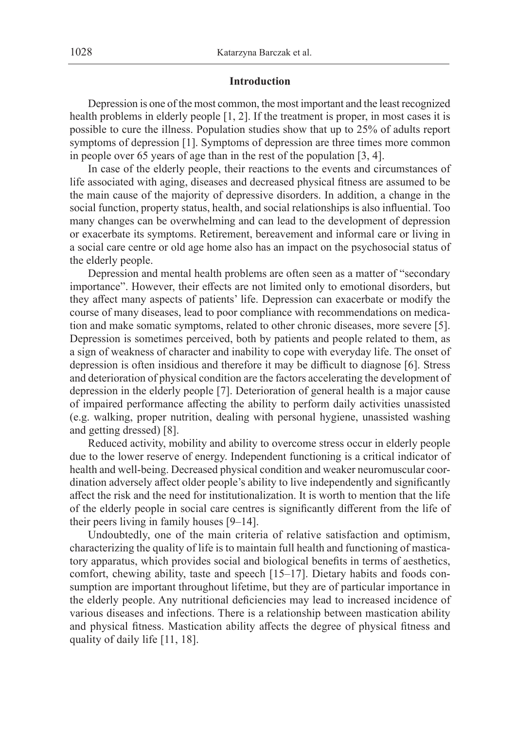#### **Introduction**

Depression is one of the most common, the most important and the least recognized health problems in elderly people [1, 2]. If the treatment is proper, in most cases it is possible to cure the illness. Population studies show that up to 25% of adults report symptoms of depression [1]. Symptoms of depression are three times more common in people over 65 years of age than in the rest of the population [3, 4].

In case of the elderly people, their reactions to the events and circumstances of life associated with aging, diseases and decreased physical fitness are assumed to be the main cause of the majority of depressive disorders. In addition, a change in the social function, property status, health, and social relationships is also influential. Too many changes can be overwhelming and can lead to the development of depression or exacerbate its symptoms. Retirement, bereavement and informal care or living in a social care centre or old age home also has an impact on the psychosocial status of the elderly people.

Depression and mental health problems are often seen as a matter of "secondary importance". However, their effects are not limited only to emotional disorders, but they affect many aspects of patients' life. Depression can exacerbate or modify the course of many diseases, lead to poor compliance with recommendations on medication and make somatic symptoms, related to other chronic diseases, more severe [5]. Depression is sometimes perceived, both by patients and people related to them, as a sign of weakness of character and inability to cope with everyday life. The onset of depression is often insidious and therefore it may be difficult to diagnose [6]. Stress and deterioration of physical condition are the factors accelerating the development of depression in the elderly people [7]. Deterioration of general health is a major cause of impaired performance affecting the ability to perform daily activities unassisted (e.g. walking, proper nutrition, dealing with personal hygiene, unassisted washing and getting dressed) [8].

Reduced activity, mobility and ability to overcome stress occur in elderly people due to the lower reserve of energy. Independent functioning is a critical indicator of health and well-being. Decreased physical condition and weaker neuromuscular coordination adversely affect older people's ability to live independently and significantly affect the risk and the need for institutionalization. It is worth to mention that the life of the elderly people in social care centres is significantly different from the life of their peers living in family houses [9–14].

Undoubtedly, one of the main criteria of relative satisfaction and optimism, characterizing the quality of life is to maintain full health and functioning of masticatory apparatus, which provides social and biological benefits in terms of aesthetics, comfort, chewing ability, taste and speech [15–17]. Dietary habits and foods consumption are important throughout lifetime, but they are of particular importance in the elderly people. Any nutritional deficiencies may lead to increased incidence of various diseases and infections. There is a relationship between mastication ability and physical fitness. Mastication ability affects the degree of physical fitness and quality of daily life [11, 18].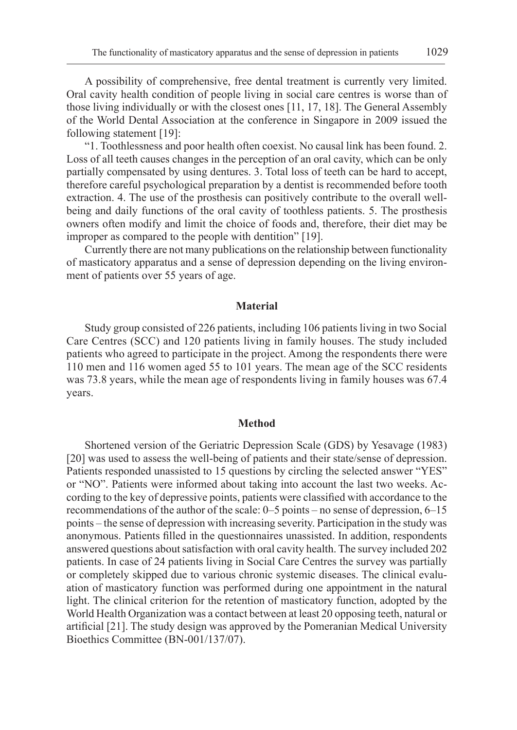A possibility of comprehensive, free dental treatment is currently very limited. Oral cavity health condition of people living in social care centres is worse than of those living individually or with the closest ones [11, 17, 18]. The General Assembly of the World Dental Association at the conference in Singapore in 2009 issued the following statement [19]:

"1. Toothlessness and poor health often coexist. No causal link has been found. 2. Loss of all teeth causes changes in the perception of an oral cavity, which can be only partially compensated by using dentures. 3. Total loss of teeth can be hard to accept, therefore careful psychological preparation by a dentist is recommended before tooth extraction. 4. The use of the prosthesis can positively contribute to the overall wellbeing and daily functions of the oral cavity of toothless patients. 5. The prosthesis owners often modify and limit the choice of foods and, therefore, their diet may be improper as compared to the people with dentition" [19].

Currently there are not many publications on the relationship between functionality of masticatory apparatus and a sense of depression depending on the living environment of patients over 55 years of age.

#### **Material**

Study group consisted of 226 patients, including 106 patients living in two Social Care Centres (SCC) and 120 patients living in family houses. The study included patients who agreed to participate in the project. Among the respondents there were 110 men and 116 women aged 55 to 101 years. The mean age of the SCC residents was 73.8 years, while the mean age of respondents living in family houses was 67.4 years.

#### **Method**

Shortened version of the Geriatric Depression Scale (GDS) by Yesavage (1983) [20] was used to assess the well-being of patients and their state/sense of depression. Patients responded unassisted to 15 questions by circling the selected answer "YES" or "NO". Patients were informed about taking into account the last two weeks. According to the key of depressive points, patients were classified with accordance to the recommendations of the author of the scale: 0–5 points – no sense of depression, 6–15 points – the sense of depression with increasing severity. Participation in the study was anonymous. Patients filled in the questionnaires unassisted. In addition, respondents answered questions about satisfaction with oral cavity health. The survey included 202 patients. In case of 24 patients living in Social Care Centres the survey was partially or completely skipped due to various chronic systemic diseases. The clinical evaluation of masticatory function was performed during one appointment in the natural light. The clinical criterion for the retention of masticatory function, adopted by the World Health Organization was a contact between at least 20 opposing teeth, natural or artificial [21]. The study design was approved by the Pomeranian Medical University Bioethics Committee (BN-001/137/07).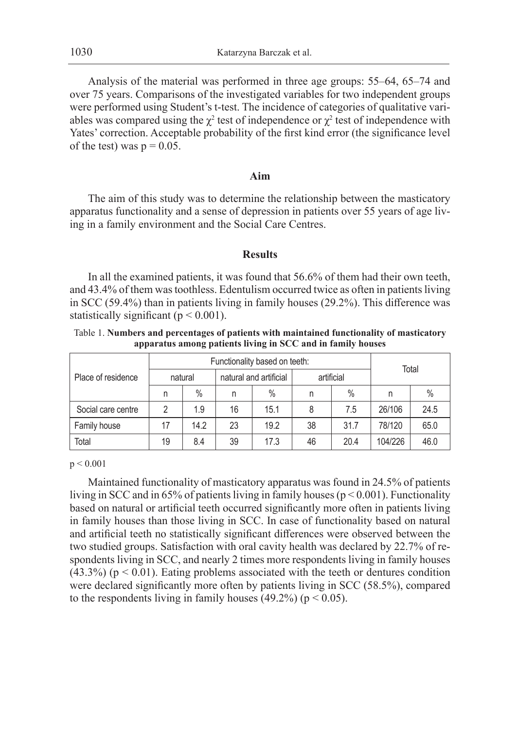Analysis of the material was performed in three age groups: 55–64, 65–74 and over 75 years. Comparisons of the investigated variables for two independent groups were performed using Student's t-test. The incidence of categories of qualitative variables was compared using the  $\chi^2$  test of independence or  $\chi^2$  test of independence with Yates' correction. Acceptable probability of the first kind error (the significance level of the test) was  $p = 0.05$ .

## **Aim**

The aim of this study was to determine the relationship between the masticatory apparatus functionality and a sense of depression in patients over 55 years of age living in a family environment and the Social Care Centres.

#### **Results**

In all the examined patients, it was found that 56.6% of them had their own teeth, and 43.4% of them was toothless. Edentulism occurred twice as often in patients living in SCC (59.4%) than in patients living in family houses (29.2%). This difference was statistically significant ( $p < 0.001$ ).

Table 1. **Numbers and percentages of patients with maintained functionality of masticatory apparatus among patients living in SCC and in family houses**

| Place of residence |         | Functionality based on teeth: | Total |                        |    |            |         |      |
|--------------------|---------|-------------------------------|-------|------------------------|----|------------|---------|------|
|                    | natural |                               |       | natural and artificial |    | artificial |         |      |
|                    | n       | $\%$                          | n     | $\%$                   | n  | $\%$       | n       | $\%$ |
| Social care centre |         | 1.9                           | 16    | 15.1                   | 8  | 7.5        | 26/106  | 24.5 |
| Family house       | 17      | 14.2                          | 23    | 19.2                   | 38 | 31.7       | 78/120  | 65.0 |
| Total              | 19      | 8.4                           | 39    | 17.3                   | 46 | 20.4       | 104/226 | 46.0 |

p < 0.001

Maintained functionality of masticatory apparatus was found in 24.5% of patients living in SCC and in 65% of patients living in family houses ( $p < 0.001$ ). Functionality based on natural or artificial teeth occurred significantly more often in patients living in family houses than those living in SCC. In case of functionality based on natural and artificial teeth no statistically significant differences were observed between the two studied groups. Satisfaction with oral cavity health was declared by 22.7% of respondents living in SCC, and nearly 2 times more respondents living in family houses  $(43.3%)$  ( $p < 0.01$ ). Eating problems associated with the teeth or dentures condition were declared significantly more often by patients living in SCC (58.5%), compared to the respondents living in family houses  $(49.2%) (p < 0.05)$ .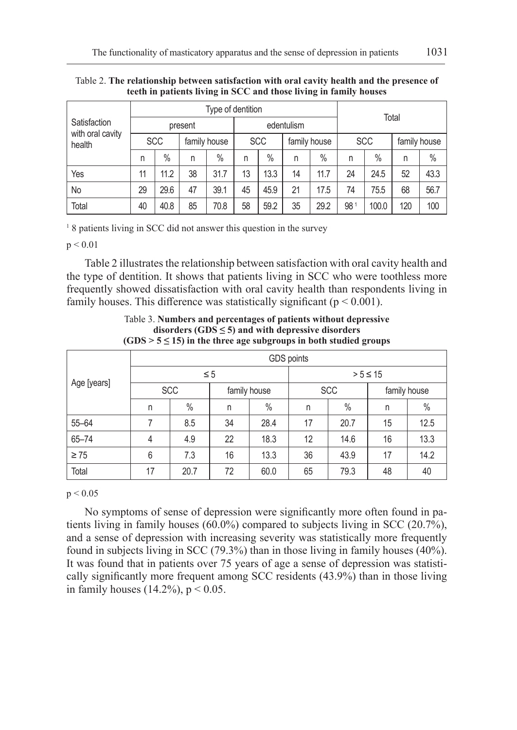| Satisfaction<br>with oral cavity<br>health | Type of dentition |      |              |      |            |      |              |      |            | Total |              |      |  |
|--------------------------------------------|-------------------|------|--------------|------|------------|------|--------------|------|------------|-------|--------------|------|--|
|                                            |                   |      | present      |      | edentulism |      |              |      |            |       |              |      |  |
|                                            | <b>SCC</b>        |      | family house |      | <b>SCC</b> |      | family house |      | <b>SCC</b> |       | family house |      |  |
|                                            | n                 | $\%$ | n            | $\%$ | n          | $\%$ | n            | $\%$ | n          | $\%$  | n            | $\%$ |  |
| Yes                                        | 11                | 11.2 | 38           | 31.7 | 13         | 13.3 | 14           | 11.7 | 24         | 24.5  | 52           | 43.3 |  |
| No                                         | 29                | 29.6 | 47           | 39.1 | 45         | 45.9 | 21           | 17.5 | 74         | 75.5  | 68           | 56.7 |  |
| Total                                      | 40                | 40.8 | 85           | 70.8 | 58         | 59.2 | 35           | 29.2 | 981        | 100.0 | 120          | 100  |  |

Table 2. **The relationship between satisfaction with oral cavity health and the presence of teeth in patients living in SCC and those living in family houses**

<sup>1</sup> 8 patients living in SCC did not answer this question in the survey

 $p < 0.01$ 

Table 2 illustrates the relationship between satisfaction with oral cavity health and the type of dentition. It shows that patients living in SCC who were toothless more frequently showed dissatisfaction with oral cavity health than respondents living in family houses. This difference was statistically significant ( $p < 0.001$ ).

| Age [years] | GDS points |            |          |              |              |            |              |      |  |  |
|-------------|------------|------------|----------|--------------|--------------|------------|--------------|------|--|--|
|             |            |            | $\leq 5$ |              | $> 5 \le 15$ |            |              |      |  |  |
|             |            | <b>SCC</b> |          | family house |              | <b>SCC</b> | family house |      |  |  |
|             | n          | $\%$       | n        | $\%$         | n            | $\%$       | n            | $\%$ |  |  |
| $55 - 64$   | 7          | 8.5        | 34       | 28.4         | 17           | 20.7       | 15           | 12.5 |  |  |
| 65-74       | 4          | 4.9        | 22       | 18.3         | 12           | 14.6       | 16           | 13.3 |  |  |
| $\geq 75$   | 6          | 7.3        | 16       | 13.3         | 36           | 43.9       | 17           | 14.2 |  |  |
| Total       | 17         | 20.7       | 72       | 60.0         | 65           | 79.3       | 48           | 40   |  |  |

Table 3. **Numbers and percentages of patients without depressive disorders (GDS ≤ 5) and with depressive disorders**  $(GDS > 5 \le 15)$  in the three age subgroups in both studied groups

 $p < 0.05$ 

No symptoms of sense of depression were significantly more often found in patients living in family houses (60.0%) compared to subjects living in SCC (20.7%), and a sense of depression with increasing severity was statistically more frequently found in subjects living in SCC (79.3%) than in those living in family houses (40%). It was found that in patients over 75 years of age a sense of depression was statistically significantly more frequent among SCC residents (43.9%) than in those living in family houses  $(14.2\%)$ ,  $p < 0.05$ .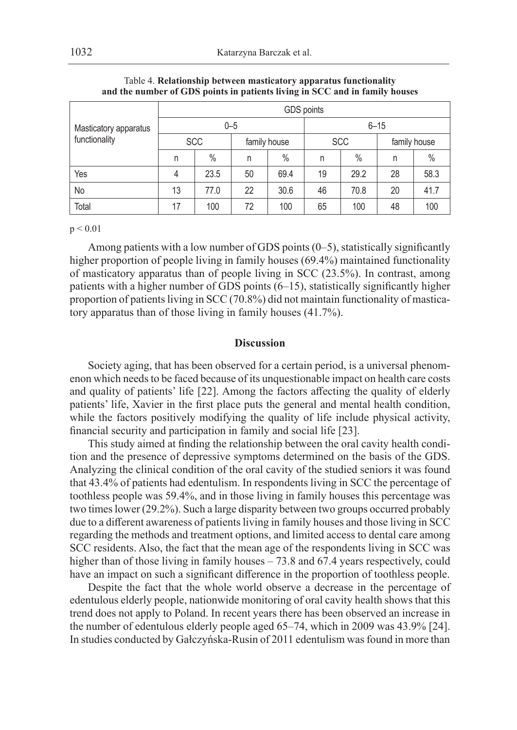| Masticatory apparatus<br>functionality | GDS points |      |         |               |          |            |              |               |  |  |
|----------------------------------------|------------|------|---------|---------------|----------|------------|--------------|---------------|--|--|
|                                        |            |      | $0 - 5$ |               | $6 - 15$ |            |              |               |  |  |
|                                        | <b>SCC</b> |      |         | family house  |          | <b>SCC</b> | family house |               |  |  |
|                                        | n          | $\%$ | n       | $\frac{0}{0}$ | n        | $\%$       | n            | $\frac{0}{0}$ |  |  |
| Yes                                    | 4          | 23.5 | 50      | 69.4          | 19       | 29.2       | 28           | 58.3          |  |  |
| No                                     | 13         | 77.0 | 22      | 30.6          | 46       | 70.8       | 20           | 41.7          |  |  |
| Total                                  | 17         | 100  | 72      | 100           | 65       | 100        | 48           | 100           |  |  |

Table 4. **Relationship between masticatory apparatus functionality and the number of GDS points in patients living in SCC and in family houses**

 $p < 0.01$ 

Among patients with a low number of GDS points (0–5), statistically significantly higher proportion of people living in family houses (69.4%) maintained functionality of masticatory apparatus than of people living in SCC (23.5%). In contrast, among patients with a higher number of GDS points (6–15), statistically significantly higher proportion of patients living in SCC (70.8%) did not maintain functionality of masticatory apparatus than of those living in family houses (41.7%).

#### **Discussion**

Society aging, that has been observed for a certain period, is a universal phenomenon which needs to be faced because of its unquestionable impact on health care costs and quality of patients' life [22]. Among the factors affecting the quality of elderly patients' life, Xavier in the first place puts the general and mental health condition, while the factors positively modifying the quality of life include physical activity, financial security and participation in family and social life [23].

This study aimed at finding the relationship between the oral cavity health condition and the presence of depressive symptoms determined on the basis of the GDS. Analyzing the clinical condition of the oral cavity of the studied seniors it was found that 43.4% of patients had edentulism. In respondents living in SCC the percentage of toothless people was 59.4%, and in those living in family houses this percentage was two times lower (29.2%). Such a large disparity between two groups occurred probably due to a different awareness of patients living in family houses and those living in SCC regarding the methods and treatment options, and limited access to dental care among SCC residents. Also, the fact that the mean age of the respondents living in SCC was higher than of those living in family houses – 73.8 and 67.4 years respectively, could have an impact on such a significant difference in the proportion of toothless people.

Despite the fact that the whole world observe a decrease in the percentage of edentulous elderly people, nationwide monitoring of oral cavity health shows that this trend does not apply to Poland. In recent years there has been observed an increase in the number of edentulous elderly people aged 65–74, which in 2009 was 43.9% [24]. In studies conducted by Gałczyńska-Rusin of 2011 edentulism was found in more than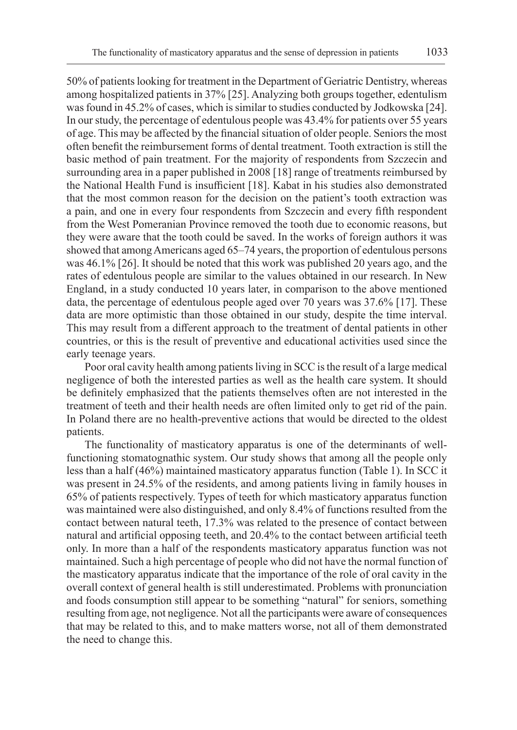50% of patients looking for treatment in the Department of Geriatric Dentistry, whereas among hospitalized patients in 37% [25]. Analyzing both groups together, edentulism was found in 45.2% of cases, which is similar to studies conducted by Jodkowska [24]. In our study, the percentage of edentulous people was 43.4% for patients over 55 years of age. This may be affected by the financial situation of older people. Seniors the most often benefit the reimbursement forms of dental treatment. Tooth extraction is still the basic method of pain treatment. For the majority of respondents from Szczecin and surrounding area in a paper published in 2008 [18] range of treatments reimbursed by the National Health Fund is insufficient [18]. Kabat in his studies also demonstrated that the most common reason for the decision on the patient's tooth extraction was a pain, and one in every four respondents from Szczecin and every fifth respondent from the West Pomeranian Province removed the tooth due to economic reasons, but they were aware that the tooth could be saved. In the works of foreign authors it was showed that among Americans aged 65–74 years, the proportion of edentulous persons was 46.1% [26]. It should be noted that this work was published 20 years ago, and the rates of edentulous people are similar to the values obtained in our research. In New England, in a study conducted 10 years later, in comparison to the above mentioned data, the percentage of edentulous people aged over 70 years was 37.6% [17]. These data are more optimistic than those obtained in our study, despite the time interval. This may result from a different approach to the treatment of dental patients in other countries, or this is the result of preventive and educational activities used since the early teenage years.

Poor oral cavity health among patients living in SCC is the result of a large medical negligence of both the interested parties as well as the health care system. It should be definitely emphasized that the patients themselves often are not interested in the treatment of teeth and their health needs are often limited only to get rid of the pain. In Poland there are no health-preventive actions that would be directed to the oldest patients.

The functionality of masticatory apparatus is one of the determinants of wellfunctioning stomatognathic system. Our study shows that among all the people only less than a half (46%) maintained masticatory apparatus function (Table 1). In SCC it was present in 24.5% of the residents, and among patients living in family houses in 65% of patients respectively. Types of teeth for which masticatory apparatus function was maintained were also distinguished, and only 8.4% of functions resulted from the contact between natural teeth, 17.3% was related to the presence of contact between natural and artificial opposing teeth, and 20.4% to the contact between artificial teeth only. In more than a half of the respondents masticatory apparatus function was not maintained. Such a high percentage of people who did not have the normal function of the masticatory apparatus indicate that the importance of the role of oral cavity in the overall context of general health is still underestimated. Problems with pronunciation and foods consumption still appear to be something "natural" for seniors, something resulting from age, not negligence. Not all the participants were aware of consequences that may be related to this, and to make matters worse, not all of them demonstrated the need to change this.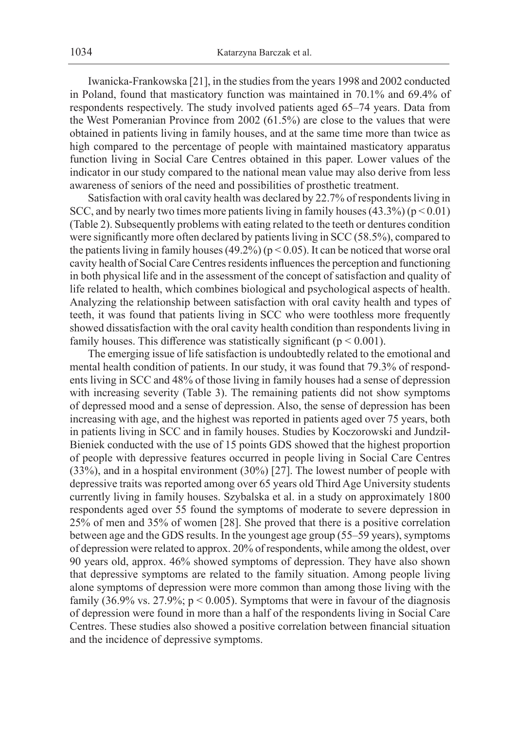Iwanicka-Frankowska [21], in the studies from the years 1998 and 2002 conducted in Poland, found that masticatory function was maintained in 70.1% and 69.4% of respondents respectively. The study involved patients aged 65–74 years. Data from the West Pomeranian Province from 2002 (61.5%) are close to the values that were obtained in patients living in family houses, and at the same time more than twice as high compared to the percentage of people with maintained masticatory apparatus function living in Social Care Centres obtained in this paper. Lower values of the indicator in our study compared to the national mean value may also derive from less awareness of seniors of the need and possibilities of prosthetic treatment.

Satisfaction with oral cavity health was declared by 22.7% of respondents living in SCC, and by nearly two times more patients living in family houses  $(43.3\%)$  ( $p < 0.01$ ) (Table 2). Subsequently problems with eating related to the teeth or dentures condition were significantly more often declared by patients living in SCC (58.5%), compared to the patients living in family houses (49.2%) ( $p < 0.05$ ). It can be noticed that worse oral cavity health of Social Care Centres residents influences the perception and functioning in both physical life and in the assessment of the concept of satisfaction and quality of life related to health, which combines biological and psychological aspects of health. Analyzing the relationship between satisfaction with oral cavity health and types of teeth, it was found that patients living in SCC who were toothless more frequently showed dissatisfaction with the oral cavity health condition than respondents living in family houses. This difference was statistically significant ( $p < 0.001$ ).

The emerging issue of life satisfaction is undoubtedly related to the emotional and mental health condition of patients. In our study, it was found that 79.3% of respondents living in SCC and 48% of those living in family houses had a sense of depression with increasing severity (Table 3). The remaining patients did not show symptoms of depressed mood and a sense of depression. Also, the sense of depression has been increasing with age, and the highest was reported in patients aged over 75 years, both in patients living in SCC and in family houses. Studies by Koczorowski and Jundził-Bieniek conducted with the use of 15 points GDS showed that the highest proportion of people with depressive features occurred in people living in Social Care Centres (33%), and in a hospital environment (30%) [27]. The lowest number of people with depressive traits was reported among over 65 years old Third Age University students currently living in family houses. Szybalska et al. in a study on approximately 1800 respondents aged over 55 found the symptoms of moderate to severe depression in 25% of men and 35% of women [28]. She proved that there is a positive correlation between age and the GDS results. In the youngest age group (55–59 years), symptoms of depression were related to approx. 20% of respondents, while among the oldest, over 90 years old, approx. 46% showed symptoms of depression. They have also shown that depressive symptoms are related to the family situation. Among people living alone symptoms of depression were more common than among those living with the family (36.9% vs. 27.9%;  $p < 0.005$ ). Symptoms that were in favour of the diagnosis of depression were found in more than a half of the respondents living in Social Care Centres. These studies also showed a positive correlation between financial situation and the incidence of depressive symptoms.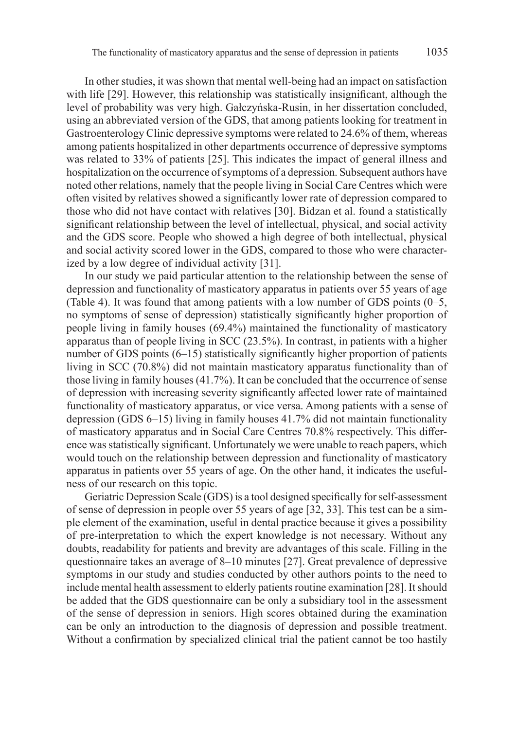In other studies, it was shown that mental well-being had an impact on satisfaction with life [29]. However, this relationship was statistically insignificant, although the level of probability was very high. Gałczyńska-Rusin, in her dissertation concluded, using an abbreviated version of the GDS, that among patients looking for treatment in Gastroenterology Clinic depressive symptoms were related to 24.6% of them, whereas among patients hospitalized in other departments occurrence of depressive symptoms was related to 33% of patients [25]. This indicates the impact of general illness and hospitalization on the occurrence of symptoms of a depression. Subsequent authors have noted other relations, namely that the people living in Social Care Centres which were often visited by relatives showed a significantly lower rate of depression compared to those who did not have contact with relatives [30]. Bidzan et al. found a statistically significant relationship between the level of intellectual, physical, and social activity and the GDS score. People who showed a high degree of both intellectual, physical and social activity scored lower in the GDS, compared to those who were characterized by a low degree of individual activity [31].

In our study we paid particular attention to the relationship between the sense of depression and functionality of masticatory apparatus in patients over 55 years of age (Table 4). It was found that among patients with a low number of GDS points (0–5, no symptoms of sense of depression) statistically significantly higher proportion of people living in family houses (69.4%) maintained the functionality of masticatory apparatus than of people living in SCC (23.5%). In contrast, in patients with a higher number of GDS points (6–15) statistically significantly higher proportion of patients living in SCC (70.8%) did not maintain masticatory apparatus functionality than of those living in family houses (41.7%). It can be concluded that the occurrence of sense of depression with increasing severity significantly affected lower rate of maintained functionality of masticatory apparatus, or vice versa. Among patients with a sense of depression (GDS 6–15) living in family houses 41.7% did not maintain functionality of masticatory apparatus and in Social Care Centres 70.8% respectively. This difference was statistically significant. Unfortunately we were unable to reach papers, which would touch on the relationship between depression and functionality of masticatory apparatus in patients over 55 years of age. On the other hand, it indicates the usefulness of our research on this topic.

Geriatric Depression Scale (GDS) is a tool designed specifically for self-assessment of sense of depression in people over 55 years of age [32, 33]. This test can be a simple element of the examination, useful in dental practice because it gives a possibility of pre-interpretation to which the expert knowledge is not necessary. Without any doubts, readability for patients and brevity are advantages of this scale. Filling in the questionnaire takes an average of 8–10 minutes [27]. Great prevalence of depressive symptoms in our study and studies conducted by other authors points to the need to include mental health assessment to elderly patients routine examination [28]. It should be added that the GDS questionnaire can be only a subsidiary tool in the assessment of the sense of depression in seniors. High scores obtained during the examination can be only an introduction to the diagnosis of depression and possible treatment. Without a confirmation by specialized clinical trial the patient cannot be too hastily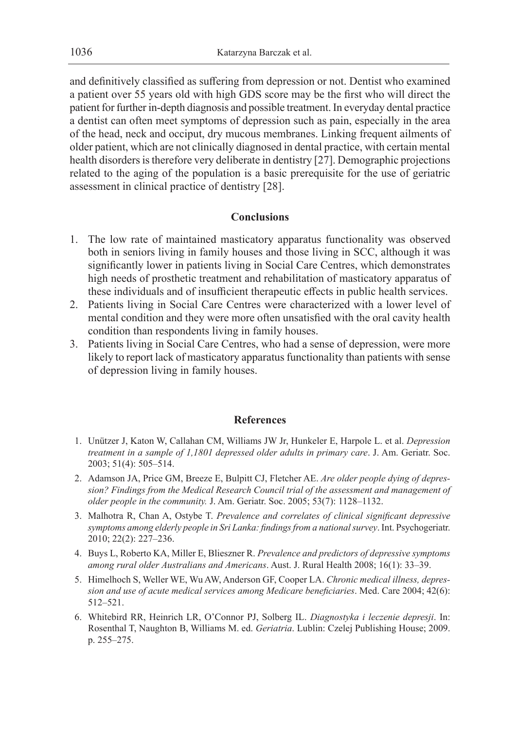and definitively classified as suffering from depression or not. Dentist who examined a patient over 55 years old with high GDS score may be the first who will direct the patient for further in-depth diagnosis and possible treatment. In everyday dental practice a dentist can often meet symptoms of depression such as pain, especially in the area of the head, neck and occiput, dry mucous membranes. Linking frequent ailments of older patient, which are not clinically diagnosed in dental practice, with certain mental health disorders is therefore very deliberate in dentistry [27]. Demographic projections related to the aging of the population is a basic prerequisite for the use of geriatric assessment in clinical practice of dentistry [28].

## **Conclusions**

- 1. The low rate of maintained masticatory apparatus functionality was observed both in seniors living in family houses and those living in SCC, although it was significantly lower in patients living in Social Care Centres, which demonstrates high needs of prosthetic treatment and rehabilitation of masticatory apparatus of these individuals and of insufficient therapeutic effects in public health services.
- 2. Patients living in Social Care Centres were characterized with a lower level of mental condition and they were more often unsatisfied with the oral cavity health condition than respondents living in family houses.
- 3. Patients living in Social Care Centres, who had a sense of depression, were more likely to report lack of masticatory apparatus functionality than patients with sense of depression living in family houses.

## **References**

- 1. Unützer J, Katon W, Callahan CM, Williams JW Jr, Hunkeler E, Harpole L. et al. *Depression treatment in a sample of 1,1801 depressed older adults in primary care*. J. Am. Geriatr. Soc. 2003; 51(4): 505–514.
- 2. Adamson JA, Price GM, Breeze E, Bulpitt CJ, Fletcher AE. *Are older people dying of depression? Findings from the Medical Research Council trial of the assessment and management of older people in the community.* J. Am. Geriatr. Soc. 2005; 53(7): 1128–1132.
- 3. Malhotra R, Chan A, Ostybe T. *Prevalence and correlates of clinical significant depressive symptoms among elderly people in Sri Lanka: findings from a national survey*. Int. Psychogeriatr. 2010; 22(2): 227–236.
- 4. Buys L, Roberto KA, Miller E, Blieszner R. *Prevalence and predictors of depressive symptoms among rural older Australians and Americans*. Aust. J. Rural Health 2008; 16(1): 33–39.
- 5. Himelhoch S, Weller WE, Wu AW, Anderson GF, Cooper LA. *Chronic medical illness, depression and use of acute medical services among Medicare beneficiaries*. Med. Care 2004; 42(6): 512–521.
- 6. Whitebird RR, Heinrich LR, O'Connor PJ, Solberg IL. *Diagnostyka i leczenie depresji*. In: Rosenthal T, Naughton B, Williams M. ed. *Geriatria*. Lublin: Czelej Publishing House; 2009. p. 255–275.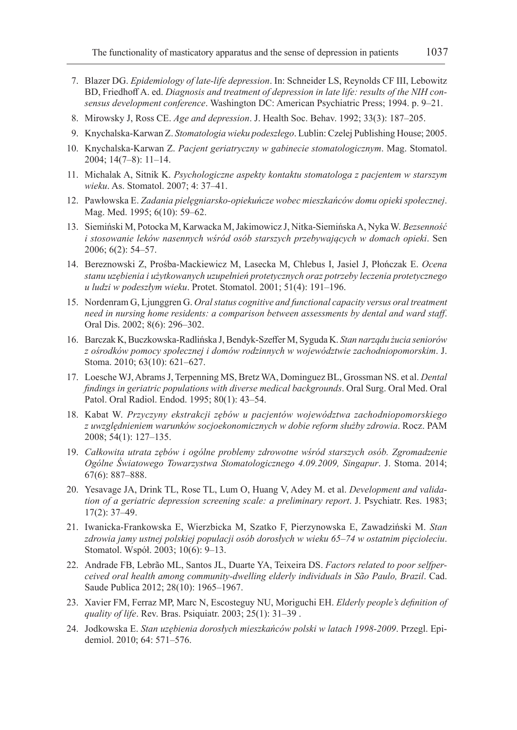- 7. Blazer DG. *Epidemiology of late-life depression*. In: Schneider LS, Reynolds CF III, Lebowitz BD, Friedhoff A. ed. *Diagnosis and treatment of depression in late life: results of the NIH consensus development conference*. Washington DC: American Psychiatric Press; 1994. p. 9–21.
- 8. Mirowsky J, Ross CE. *Age and depression*. J. Health Soc. Behav. 1992; 33(3): 187–205.
- 9. Knychalska-Karwan Z. *Stomatologia wieku podeszłego*. Lublin: Czelej Publishing House; 2005.
- 10. Knychalska-Karwan Z. *Pacjent geriatryczny w gabinecie stomatologicznym*. Mag. Stomatol. 2004; 14(7–8): 11–14.
- 11. Michalak A, Sitnik K. *Psychologiczne aspekty kontaktu stomatologa z pacjentem w starszym wieku*. As. Stomatol. 2007; 4: 37–41.
- 12. Pawłowska E. *Zadania pielęgniarsko-opiekuńcze wobec mieszkańców domu opieki społecznej*. Mag. Med. 1995; 6(10): 59–62.
- 13. Siemiński M, Potocka M, Karwacka M, Jakimowicz J, Nitka-Siemińska A, Nyka W. *Bezsenność i stosowanie leków nasennych wśród osób starszych przebywających w domach opieki*. Sen 2006; 6(2): 54–57.
- 14. Bereznowski Z, Prośba-Mackiewicz M, Lasecka M, Chlebus I, Jasiel J, Płończak E. *Ocena stanu uzębienia i użytkowanych uzupełnień protetycznych oraz potrzeby leczenia protetycznego u ludzi w podeszłym wieku*. Protet. Stomatol. 2001; 51(4): 191–196.
- 15. Nordenram G, Ljunggren G. *Oral status cognitive and functional capacity versus oral treatment need in nursing home residents: a comparison between assessments by dental and ward staff*. Oral Dis. 2002; 8(6): 296–302.
- 16. Barczak K, Buczkowska-Radlińska J, Bendyk-Szeffer M, Syguda K. *Stan narządu żucia seniorów z ośrodków pomocy społecznej i domów rodzinnych w województwie zachodniopomorskim*. J. Stoma. 2010; 63(10): 621–627.
- 17. Loesche WJ, Abrams J, Terpenning MS, Bretz WA, Dominguez BL, Grossman NS. et al. *Dental findings in geriatric populations with diverse medical backgrounds*. Oral Surg. Oral Med. Oral Patol. Oral Radiol. Endod. 1995; 80(1): 43–54.
- 18. Kabat W. *Przyczyny ekstrakcji zębów u pacjentów województwa zachodniopomorskiego z uwzględnieniem warunków socjoekonomicznych w dobie reform służby zdrowia*. Rocz. PAM 2008; 54(1): 127–135.
- 19. *Całkowita utrata zębów i ogólne problemy zdrowotne wśród starszych osób. Zgromadzenie Ogólne Światowego Towarzystwa Stomatologicznego 4.09.2009, Singapur*. J. Stoma. 2014; 67(6): 887–888.
- 20. Yesavage JA, Drink TL, Rose TL, Lum O, Huang V, Adey M. et al. *Development and validation of a geriatric depression screening scale: a preliminary report*. J. Psychiatr. Res. 1983; 17(2): 37–49.
- 21. Iwanicka-Frankowska E, Wierzbicka M, Szatko F, Pierzynowska E, Zawadziński M. *Stan zdrowia jamy ustnej polskiej populacji osób dorosłych w wieku 65–74 w ostatnim pięcioleciu*. Stomatol. Współ. 2003; 10(6): 9–13.
- 22. Andrade FB, Lebrão ML, Santos JL, Duarte YA, Teixeira DS. *Factors related to poor selfperceived oral health among community-dwelling elderly individuals in São Paulo, Brazil*. Cad. Saude Publica 2012; 28(10): 1965–1967.
- 23. Xavier FM, Ferraz MP, Marc N, Escosteguy NU, Moriguchi EH. *Elderly people's definition of quality of life*. Rev. Bras. Psiquiatr. 2003; 25(1): 31–39 .
- 24. Jodkowska E. *Stan uzębienia dorosłych mieszkańców polski w latach 1998-2009*. Przegl. Epidemiol. 2010; 64: 571–576.